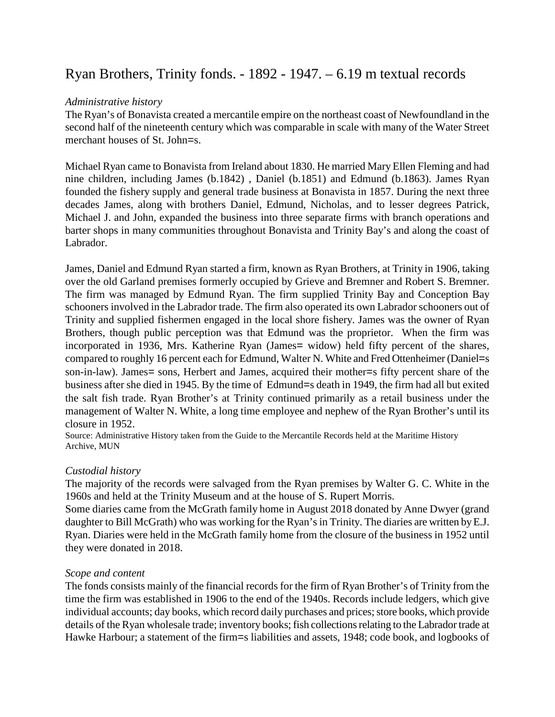# Ryan Brothers, Trinity fonds. - 1892 - 1947. – 6.19 m textual records

## *Administrative history*

The Ryan's of Bonavista created a mercantile empire on the northeast coast of Newfoundland in the second half of the nineteenth century which was comparable in scale with many of the Water Street merchant houses of St. John=s.

Michael Ryan came to Bonavista from Ireland about 1830. He married Mary Ellen Fleming and had nine children, including James (b.1842) , Daniel (b.1851) and Edmund (b.1863). James Ryan founded the fishery supply and general trade business at Bonavista in 1857. During the next three decades James, along with brothers Daniel, Edmund, Nicholas, and to lesser degrees Patrick, Michael J. and John, expanded the business into three separate firms with branch operations and barter shops in many communities throughout Bonavista and Trinity Bay's and along the coast of Labrador.

James, Daniel and Edmund Ryan started a firm, known as Ryan Brothers, at Trinity in 1906, taking over the old Garland premises formerly occupied by Grieve and Bremner and Robert S. Bremner. The firm was managed by Edmund Ryan. The firm supplied Trinity Bay and Conception Bay schooners involved in the Labrador trade. The firm also operated its own Labrador schooners out of Trinity and supplied fishermen engaged in the local shore fishery. James was the owner of Ryan Brothers, though public perception was that Edmund was the proprietor. When the firm was incorporated in 1936, Mrs. Katherine Ryan (James= widow) held fifty percent of the shares, compared to roughly 16 percent each for Edmund, Walter N. White and Fred Ottenheimer (Daniel=s son-in-law). James= sons, Herbert and James, acquired their mother=s fifty percent share of the business after she died in 1945. By the time of Edmund=s death in 1949, the firm had all but exited the salt fish trade. Ryan Brother's at Trinity continued primarily as a retail business under the management of Walter N. White, a long time employee and nephew of the Ryan Brother's until its closure in 1952.

Source: Administrative History taken from the Guide to the Mercantile Records held at the Maritime History Archive, MUN

## *Custodial history*

The majority of the records were salvaged from the Ryan premises by Walter G. C. White in the 1960s and held at the Trinity Museum and at the house of S. Rupert Morris.

Some diaries came from the McGrath family home in August 2018 donated by Anne Dwyer (grand daughter to Bill McGrath) who was working for the Ryan's in Trinity. The diaries are written by E.J. Ryan. Diaries were held in the McGrath family home from the closure of the business in 1952 until they were donated in 2018.

## *Scope and content*

The fonds consists mainly of the financial records for the firm of Ryan Brother's of Trinity from the time the firm was established in 1906 to the end of the 1940s. Records include ledgers, which give individual accounts; day books, which record daily purchases and prices; store books, which provide details of the Ryan wholesale trade; inventory books; fish collections relating to the Labrador trade at Hawke Harbour; a statement of the firm=s liabilities and assets, 1948; code book, and logbooks of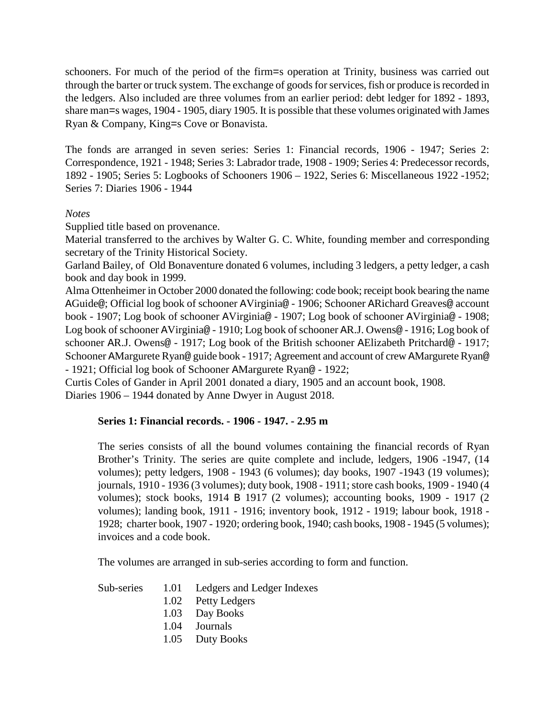schooners. For much of the period of the firm=s operation at Trinity, business was carried out through the barter or truck system. The exchange of goods for services, fish or produce is recorded in the ledgers. Also included are three volumes from an earlier period: debt ledger for 1892 - 1893, share man=s wages, 1904 - 1905, diary 1905. It is possible that these volumes originated with James Ryan & Company, King=s Cove or Bonavista.

The fonds are arranged in seven series: Series 1: Financial records, 1906 - 1947; Series 2: Correspondence, 1921 - 1948; Series 3: Labrador trade, 1908 - 1909; Series 4: Predecessor records, 1892 - 1905; Series 5: Logbooks of Schooners 1906 – 1922, Series 6: Miscellaneous 1922 -1952; Series 7: Diaries 1906 - 1944

## *Notes*

Supplied title based on provenance.

Material transferred to the archives by Walter G. C. White, founding member and corresponding secretary of the Trinity Historical Society.

Garland Bailey, of Old Bonaventure donated 6 volumes, including 3 ledgers, a petty ledger, a cash book and day book in 1999.

Alma Ottenheimer in October 2000 donated the following: code book; receipt book bearing the name AGuide@; Official log book of schooner AVirginia@ - 1906; Schooner ARichard Greaves@ account book - 1907; Log book of schooner AVirginia@ - 1907; Log book of schooner AVirginia@ - 1908; Log book of schooner AVirginia@ - 1910; Log book of schooner AR.J. Owens@ - 1916; Log book of schooner AR.J. Owens@ - 1917; Log book of the British schooner AElizabeth Pritchard@ - 1917; Schooner AMargurete Ryan@ guide book - 1917; Agreement and account of crew AMargurete Ryan@ - 1921; Official log book of Schooner AMargurete Ryan@ - 1922;

Curtis Coles of Gander in April 2001 donated a diary, 1905 and an account book, 1908. Diaries 1906 – 1944 donated by Anne Dwyer in August 2018.

## **Series 1: Financial records. - 1906 - 1947. - 2.95 m**

The series consists of all the bound volumes containing the financial records of Ryan Brother's Trinity. The series are quite complete and include, ledgers, 1906 -1947, (14 volumes); petty ledgers, 1908 - 1943 (6 volumes); day books, 1907 -1943 (19 volumes); journals, 1910 - 1936 (3 volumes); duty book, 1908 - 1911; store cash books, 1909 - 1940 (4 volumes); stock books, 1914 B 1917 (2 volumes); accounting books, 1909 - 1917 (2 volumes); landing book, 1911 - 1916; inventory book, 1912 - 1919; labour book, 1918 - 1928; charter book, 1907 - 1920; ordering book, 1940; cash books, 1908 - 1945 (5 volumes); invoices and a code book.

The volumes are arranged in sub-series according to form and function.

| Sub-series | 1.01 | Ledgers and Ledger Indexes |  |
|------------|------|----------------------------|--|
|            |      |                            |  |

- 1.02 Petty Ledgers
- 1.03 Day Books
- 1.04 Journals
- 1.05 Duty Books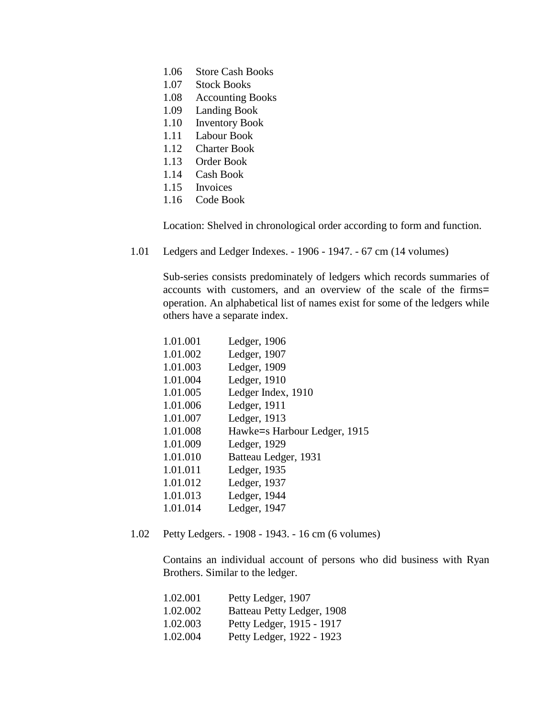- 1.06 Store Cash Books
- 1.07 Stock Books
- 1.08 Accounting Books
- 1.09 Landing Book
- 1.10 Inventory Book
- 1.11 Labour Book
- 1.12 Charter Book
- 1.13 Order Book
- 1.14 Cash Book
- 1.15 Invoices
- 1.16 Code Book

Location: Shelved in chronological order according to form and function.

1.01 Ledgers and Ledger Indexes. - 1906 - 1947. - 67 cm (14 volumes)

Sub-series consists predominately of ledgers which records summaries of accounts with customers, and an overview of the scale of the firms= operation. An alphabetical list of names exist for some of the ledgers while others have a separate index.

| 1.01.001 | Ledger, 1906                 |
|----------|------------------------------|
| 1.01.002 | Ledger, 1907                 |
| 1.01.003 | Ledger, 1909                 |
| 1.01.004 | Ledger, 1910                 |
| 1.01.005 | Ledger Index, 1910           |
| 1.01.006 | Ledger, 1911                 |
| 1.01.007 | Ledger, 1913                 |
| 1.01.008 | Hawke=s Harbour Ledger, 1915 |
| 1.01.009 | Ledger, 1929                 |
| 1.01.010 | Batteau Ledger, 1931         |
| 1.01.011 | Ledger, 1935                 |
| 1.01.012 | Ledger, 1937                 |
| 1.01.013 | Ledger, 1944                 |
| 1.01.014 | Ledger, 1947                 |

1.02 Petty Ledgers. - 1908 - 1943. - 16 cm (6 volumes)

Contains an individual account of persons who did business with Ryan Brothers. Similar to the ledger.

| 1.02.001 | Petty Ledger, 1907         |
|----------|----------------------------|
| 1.02.002 | Batteau Petty Ledger, 1908 |
| 1.02.003 | Petty Ledger, 1915 - 1917  |
| 1.02.004 | Petty Ledger, 1922 - 1923  |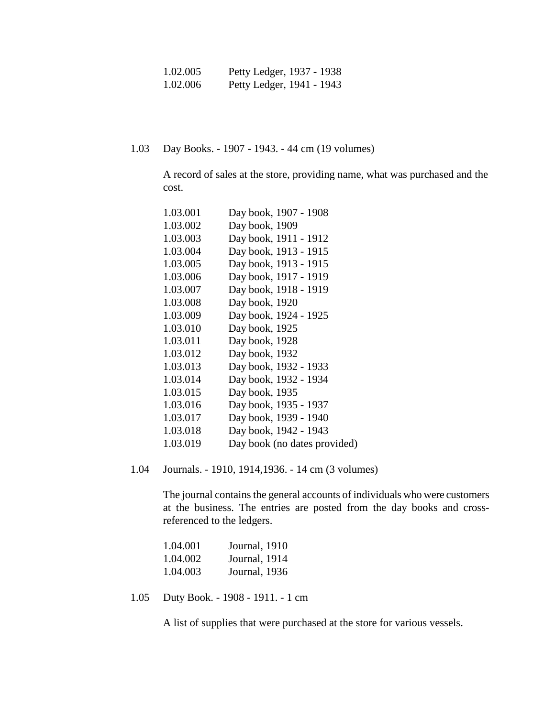| 1.02.005 | Petty Ledger, 1937 - 1938 |
|----------|---------------------------|
| 1.02.006 | Petty Ledger, 1941 - 1943 |

1.03 Day Books. - 1907 - 1943. - 44 cm (19 volumes)

A record of sales at the store, providing name, what was purchased and the cost.

| 1.03.001 | Day book, 1907 - 1908        |
|----------|------------------------------|
| 1.03.002 | Day book, 1909               |
| 1.03.003 | Day book, 1911 - 1912        |
| 1.03.004 | Day book, 1913 - 1915        |
| 1.03.005 | Day book, 1913 - 1915        |
| 1.03.006 | Day book, 1917 - 1919        |
| 1.03.007 | Day book, 1918 - 1919        |
| 1.03.008 | Day book, 1920               |
| 1.03.009 | Day book, 1924 - 1925        |
| 1.03.010 | Day book, 1925               |
| 1.03.011 | Day book, 1928               |
| 1.03.012 | Day book, 1932               |
| 1.03.013 | Day book, 1932 - 1933        |
| 1.03.014 | Day book, 1932 - 1934        |
| 1.03.015 | Day book, 1935               |
| 1.03.016 | Day book, 1935 - 1937        |
| 1.03.017 | Day book, 1939 - 1940        |
| 1.03.018 | Day book, 1942 - 1943        |
| 1.03.019 | Day book (no dates provided) |
|          |                              |

1.04 Journals. - 1910, 1914,1936. - 14 cm (3 volumes)

The journal contains the general accounts of individuals who were customers at the business. The entries are posted from the day books and crossreferenced to the ledgers.

| 1.04.001 | Journal, 1910 |
|----------|---------------|
| 1.04.002 | Journal, 1914 |
| 1.04.003 | Journal, 1936 |

1.05 Duty Book. - 1908 - 1911. - 1 cm

A list of supplies that were purchased at the store for various vessels.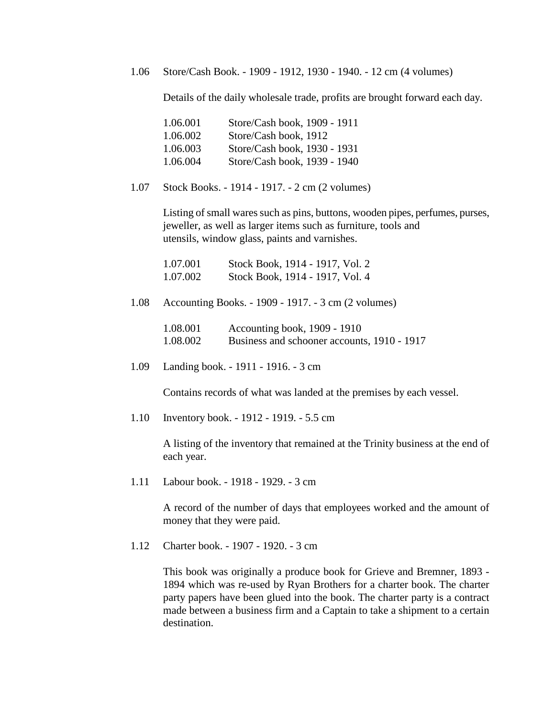1.06 Store/Cash Book. - 1909 - 1912, 1930 - 1940. - 12 cm (4 volumes)

Details of the daily wholesale trade, profits are brought forward each day.

| 1.06.001 | Store/Cash book, 1909 - 1911 |
|----------|------------------------------|
| 1.06.002 | Store/Cash book, 1912        |
| 1.06.003 | Store/Cash book, 1930 - 1931 |
| 1.06.004 | Store/Cash book, 1939 - 1940 |

1.07 Stock Books. - 1914 - 1917. - 2 cm (2 volumes)

Listing of small wares such as pins, buttons, wooden pipes, perfumes, purses, jeweller, as well as larger items such as furniture, tools and utensils, window glass, paints and varnishes.

| 1.07.001 | Stock Book, 1914 - 1917, Vol. 2 |
|----------|---------------------------------|
| 1.07.002 | Stock Book, 1914 - 1917, Vol. 4 |

1.08 Accounting Books. - 1909 - 1917. - 3 cm (2 volumes)

| 1.08.001 | Accounting book, 1909 - 1910                |
|----------|---------------------------------------------|
| 1.08.002 | Business and schooner accounts, 1910 - 1917 |

1.09 Landing book. - 1911 - 1916. - 3 cm

Contains records of what was landed at the premises by each vessel.

1.10 Inventory book. - 1912 - 1919. - 5.5 cm

A listing of the inventory that remained at the Trinity business at the end of each year.

1.11 Labour book. - 1918 - 1929. - 3 cm

A record of the number of days that employees worked and the amount of money that they were paid.

1.12 Charter book. - 1907 - 1920. - 3 cm

This book was originally a produce book for Grieve and Bremner, 1893 - 1894 which was re-used by Ryan Brothers for a charter book. The charter party papers have been glued into the book. The charter party is a contract made between a business firm and a Captain to take a shipment to a certain destination.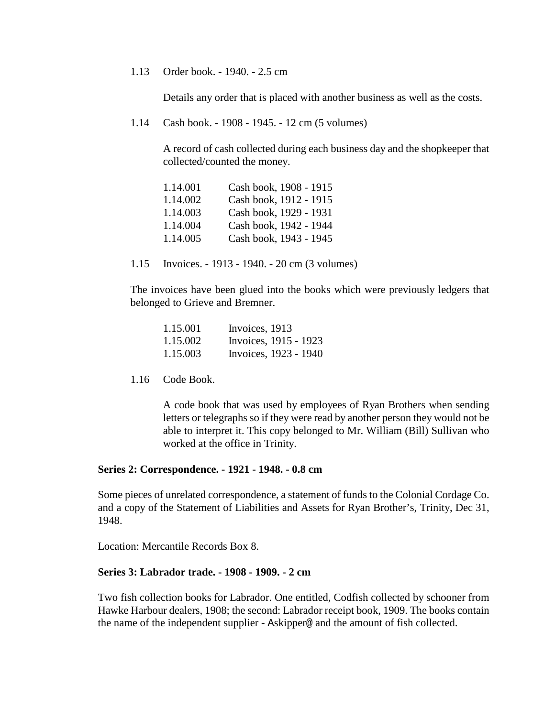#### 1.13 Order book. - 1940. - 2.5 cm

Details any order that is placed with another business as well as the costs.

1.14 Cash book. - 1908 - 1945. - 12 cm (5 volumes)

A record of cash collected during each business day and the shopkeeper that collected/counted the money.

| 1.14.001 | Cash book, 1908 - 1915 |
|----------|------------------------|
| 1.14.002 | Cash book, 1912 - 1915 |
| 1.14.003 | Cash book, 1929 - 1931 |
| 1.14.004 | Cash book, 1942 - 1944 |
| 1.14.005 | Cash book, 1943 - 1945 |

1.15 Invoices. - 1913 - 1940. - 20 cm (3 volumes)

The invoices have been glued into the books which were previously ledgers that belonged to Grieve and Bremner.

| 1.15.001 | Invoices, 1913        |
|----------|-----------------------|
| 1.15.002 | Invoices, 1915 - 1923 |
| 1.15.003 | Invoices, 1923 - 1940 |

1.16 Code Book.

A code book that was used by employees of Ryan Brothers when sending letters or telegraphs so if they were read by another person they would not be able to interpret it. This copy belonged to Mr. William (Bill) Sullivan who worked at the office in Trinity.

#### **Series 2: Correspondence. - 1921 - 1948. - 0.8 cm**

Some pieces of unrelated correspondence, a statement of funds to the Colonial Cordage Co. and a copy of the Statement of Liabilities and Assets for Ryan Brother's, Trinity, Dec 31, 1948.

Location: Mercantile Records Box 8.

#### **Series 3: Labrador trade. - 1908 - 1909. - 2 cm**

Two fish collection books for Labrador. One entitled, Codfish collected by schooner from Hawke Harbour dealers, 1908; the second: Labrador receipt book, 1909. The books contain the name of the independent supplier - Askipper@ and the amount of fish collected.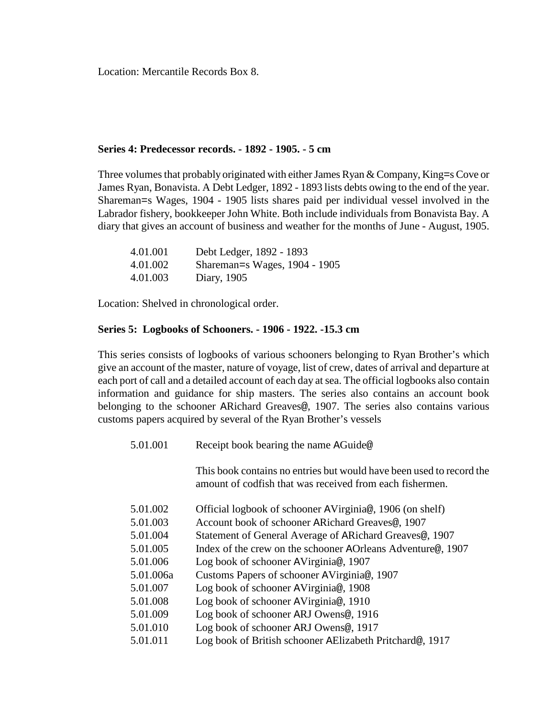Location: Mercantile Records Box 8.

#### **Series 4: Predecessor records. - 1892 - 1905. - 5 cm**

Three volumes that probably originated with either James Ryan & Company, King=s Cove or James Ryan, Bonavista. A Debt Ledger, 1892 - 1893 lists debts owing to the end of the year. Shareman=s Wages, 1904 - 1905 lists shares paid per individual vessel involved in the Labrador fishery, bookkeeper John White. Both include individuals from Bonavista Bay. A diary that gives an account of business and weather for the months of June - August, 1905.

| 4.01.001 | Debt Ledger, 1892 - 1893      |
|----------|-------------------------------|
| 4.01.002 | Shareman=s Wages, 1904 - 1905 |
| 4.01.003 | Diary, 1905                   |

Location: Shelved in chronological order.

## **Series 5: Logbooks of Schooners. - 1906 - 1922. -15.3 cm**

This series consists of logbooks of various schooners belonging to Ryan Brother's which give an account of the master, nature of voyage, list of crew, dates of arrival and departure at each port of call and a detailed account of each day at sea. The official logbooks also contain information and guidance for ship masters. The series also contains an account book belonging to the schooner ARichard Greaves@, 1907. The series also contains various customs papers acquired by several of the Ryan Brother's vessels

| 5.01.001  | Receipt book bearing the name AGuide@                                                                                            |  |
|-----------|----------------------------------------------------------------------------------------------------------------------------------|--|
|           | This book contains no entries but would have been used to record the<br>amount of codfish that was received from each fishermen. |  |
| 5.01.002  | Official logbook of schooner AVirginia@, 1906 (on shelf)                                                                         |  |
| 5.01.003  | Account book of schooner ARichard Greaves@, 1907                                                                                 |  |
| 5.01.004  | Statement of General Average of ARichard Greaves <sup>®</sup> , 1907                                                             |  |
| 5.01.005  | Index of the crew on the schooner AOrleans Adventure@, 1907                                                                      |  |
| 5.01.006  | Log book of schooner AVirginia@, 1907                                                                                            |  |
| 5.01.006a | Customs Papers of schooner AVirginia@, 1907                                                                                      |  |
| 5.01.007  | Log book of schooner AVirginia@, 1908                                                                                            |  |
| 5.01.008  | Log book of schooner AVirginia@, 1910                                                                                            |  |
| 5.01.009  | Log book of schooner ARJ Owens@, 1916                                                                                            |  |
| 5.01.010  | Log book of schooner ARJ Owens@, 1917                                                                                            |  |
| 5.01.011  | Log book of British schooner AElizabeth Pritchard@, 1917                                                                         |  |